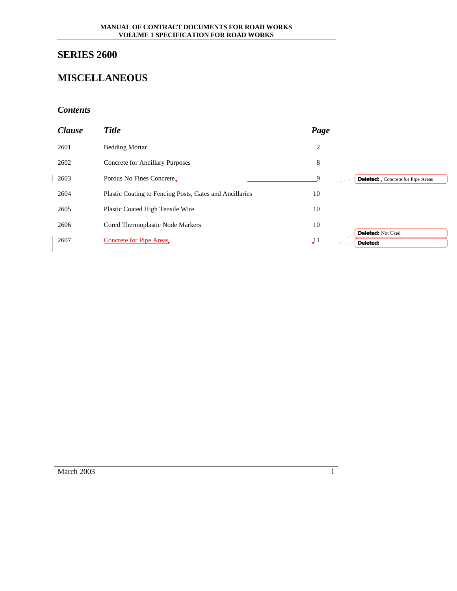# **SERIES 2600**

## **MISCELLANEOUS**

## *Contents*

| <b>Clause</b> | <b>Title</b>                                            | Page                                     |  |
|---------------|---------------------------------------------------------|------------------------------------------|--|
| 2601          | <b>Bedding Mortar</b>                                   | 2                                        |  |
| 2602          | <b>Concrete for Ancillary Purposes</b>                  | 8                                        |  |
| 2603          | Porous No Fines Concrete.                               | Q.<br>Deleted: , Concrete for Pipe Areas |  |
| 2604          | Plastic Coating to Fencing Posts, Gates and Ancillaries | 10                                       |  |
| 2605          | <b>Plastic Coated High Tensile Wire</b>                 | 10                                       |  |
| 2606          | Cored Thermoplastic Node Markers                        | 10                                       |  |
| 2607          | <b>Concrete for Pipe Areas</b>                          | Deleted: Not Used<br>11 لو<br>Deleted:   |  |

March 2003 1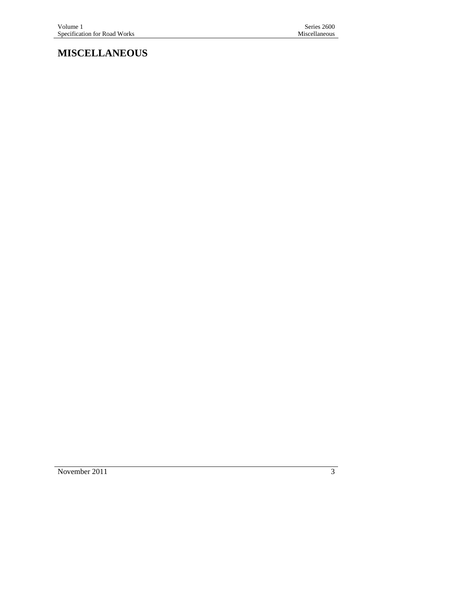**MISCELLANEOUS** 

November 2011 3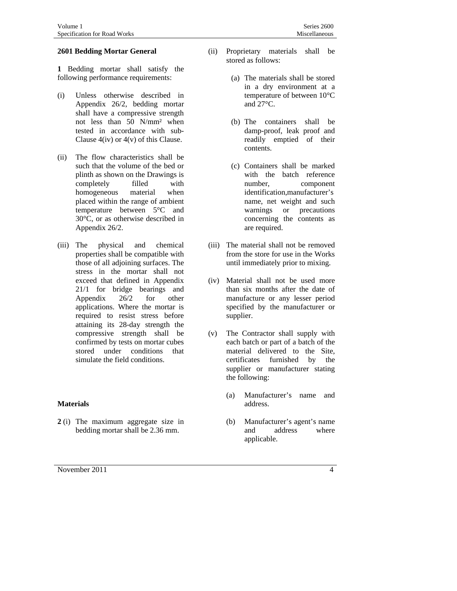#### **2601 Bedding Mortar General**

**1** Bedding mortar shall satisfy the following performance requirements:

- (i) Unless otherwise described in Appendix 26/2, bedding mortar shall have a compressive strength not less than 50 N/mm² when tested in accordance with sub-Clause  $4(iv)$  or  $4(v)$  of this Clause.
- (ii) The flow characteristics shall be such that the volume of the bed or plinth as shown on the Drawings is completely filled with homogeneous material when placed within the range of ambient temperature between 5°C and 30°C, or as otherwise described in Appendix 26/2.
- (iii) The physical and chemical properties shall be compatible with those of all adjoining surfaces. The stress in the mortar shall not exceed that defined in Appendix 21/1 for bridge bearings and Appendix 26/2 for other applications. Where the mortar is required to resist stress before attaining its 28-day strength the compressive strength shall be confirmed by tests on mortar cubes stored under conditions that simulate the field conditions.

#### **Materials**

- **2** (i) The maximum aggregate size in bedding mortar shall be 2.36 mm.
- November 2011 4
- (ii) Proprietary materials shall be stored as follows:
	- (a) The materials shall be stored in a dry environment at a temperature of between 10°C and 27°C.
	- (b) The containers shall be damp-proof, leak proof and readily emptied of their contents.
	- (c) Containers shall be marked with the batch reference number, component identification,manufacturer's name, net weight and such warnings or precautions concerning the contents as are required.
- (iii) The material shall not be removed from the store for use in the Works until immediately prior to mixing.
- (iv) Material shall not be used more than six months after the date of manufacture or any lesser period specified by the manufacturer or supplier.
- (v) The Contractor shall supply with each batch or part of a batch of the material delivered to the Site, certificates furnished by the supplier or manufacturer stating the following:
	- (a) Manufacturer's name and address.
	- (b) Manufacturer's agent's name and address where applicable.
		-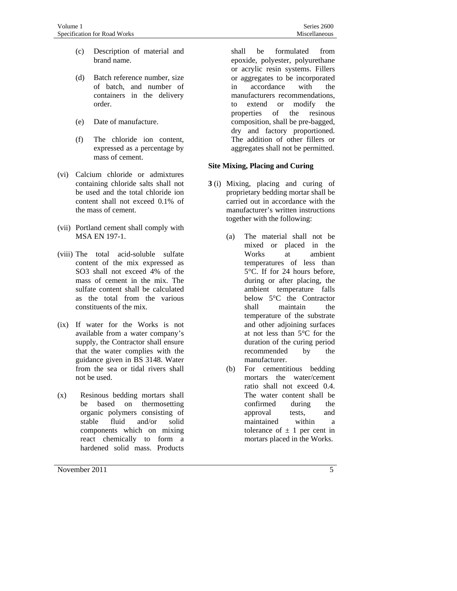- (c) Description of material and brand name.
- (d) Batch reference number, size of batch, and number of containers in the delivery order.
- (e) Date of manufacture.
- (f) The chloride ion content, expressed as a percentage by mass of cement.
- (vi) Calcium chloride or admixtures containing chloride salts shall not be used and the total chloride ion content shall not exceed 0.1% of the mass of cement.
- (vii) Portland cement shall comply with MSA EN 197-1.
- (viii) The total acid-soluble sulfate content of the mix expressed as SO3 shall not exceed 4% of the mass of cement in the mix. The sulfate content shall be calculated as the total from the various constituents of the mix.
- (ix) If water for the Works is not available from a water company's supply, the Contractor shall ensure that the water complies with the guidance given in BS 3148. Water from the sea or tidal rivers shall not be used.
- (x) Resinous bedding mortars shall be based on thermosetting organic polymers consisting of stable fluid and/or solid components which on mixing react chemically to form a hardened solid mass. Products

shall be formulated from epoxide, polyester, polyurethane or acrylic resin systems. Fillers or aggregates to be incorporated in accordance with the manufacturers recommendations, to extend or modify the properties of the resinous composition, shall be pre-bagged, dry and factory proportioned. The addition of other fillers or aggregates shall not be permitted.

## **Site Mixing, Placing and Curing**

- **3** (i) Mixing, placing and curing of proprietary bedding mortar shall be carried out in accordance with the manufacturer's written instructions together with the following:
	- (a) The material shall not be mixed or placed in the Works at ambient temperatures of less than 5°C. If for 24 hours before, during or after placing, the ambient temperature falls below 5°C the Contractor shall maintain the temperature of the substrate and other adjoining surfaces at not less than 5°C for the duration of the curing period recommended by the manufacturer.
	- (b) For cementitious bedding mortars the water/cement ratio shall not exceed 0.4. The water content shall be confirmed during the approval tests, and maintained within a tolerance of  $\pm$  1 per cent in mortars placed in the Works.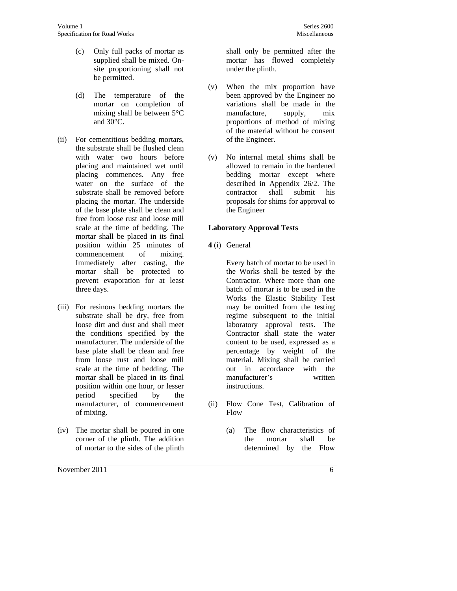- (c) Only full packs of mortar as supplied shall be mixed. Onsite proportioning shall not be permitted.
- (d) The temperature of the mortar on completion of mixing shall be between 5°C and 30°C.
- (ii) For cementitious bedding mortars, the substrate shall be flushed clean with water two hours before placing and maintained wet until placing commences. Any free water on the surface of the substrate shall be removed before placing the mortar. The underside of the base plate shall be clean and free from loose rust and loose mill scale at the time of bedding. The mortar shall be placed in its final position within 25 minutes of commencement of mixing. Immediately after casting, the mortar shall be protected to prevent evaporation for at least three days.
- (iii) For resinous bedding mortars the substrate shall be dry, free from loose dirt and dust and shall meet the conditions specified by the manufacturer. The underside of the base plate shall be clean and free from loose rust and loose mill scale at the time of bedding. The mortar shall be placed in its final position within one hour, or lesser period specified by the manufacturer, of commencement of mixing.
- (iv) The mortar shall be poured in one corner of the plinth. The addition of mortar to the sides of the plinth

shall only be permitted after the mortar has flowed completely under the plinth.

- (v) When the mix proportion have been approved by the Engineer no variations shall be made in the manufacture, supply, mix proportions of method of mixing of the material without he consent of the Engineer.
- (v) No internal metal shims shall be allowed to remain in the hardened bedding mortar except where described in Appendix 26/2. The contractor shall submit his proposals for shims for approval to the Engineer

#### **Laboratory Approval Tests**

**4** (i) General

Every batch of mortar to be used in the Works shall be tested by the Contractor. Where more than one batch of mortar is to be used in the Works the Elastic Stability Test may be omitted from the testing regime subsequent to the initial laboratory approval tests. The Contractor shall state the water content to be used, expressed as a percentage by weight of the material. Mixing shall be carried out in accordance with the manufacturer's written instructions.

- (ii) Flow Cone Test, Calibration of Flow
	- (a) The flow characteristics of the mortar shall be determined by the Flow
		-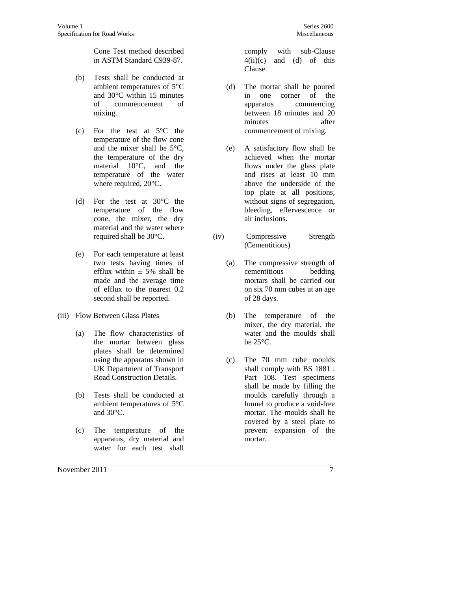Cone Test method described in ASTM Standard C939-87.

- (b) Tests shall be conducted at ambient temperatures of 5°C and 30°C within 15 minutes of commencement of mixing.
- (c) For the test at 5°C the temperature of the flow cone and the mixer shall be 5°C, the temperature of the dry material 10°C, and the temperature of the water where required, 20°C.
- (d) For the test at 30°C the temperature of the flow cone, the mixer, the dry material and the water where required shall be 30°C.
- (e) For each temperature at least two tests having times of efflux within  $\pm$  5% shall be made and the average time of efflux to the nearest 0.2 second shall be reported.
- (iii) Flow Between Glass Plates
	- (a) The flow characteristics of the mortar between glass plates shall be determined using the apparatus shown in UK Department of Transport Road Construction Details.
	- (b) Tests shall be conducted at ambient temperatures of 5°C and 30°C.
	- (c) The temperature of the apparatus, dry material and water for each test shall

November 2011 7

comply with sub-Clause  $4(ii)(c)$  and (d) of this Clause.

- (d) The mortar shall be poured in one corner of the apparatus commencing between 18 minutes and 20 minutes after commencement of mixing.
- (e) A satisfactory flow shall be achieved when the mortar flows under the glass plate and rises at least 10 mm above the underside of the top plate at all positions, without signs of segregation, bleeding, effervescence or air inclusions.
- (iv) Compressive Strength (Cementitious)
	- (a) The compressive strength of cementitious bedding mortars shall be carried out on six 70 mm cubes at an age of 28 days.
	- (b) The temperature of the mixer, the dry material, the water and the moulds shall be 25°C.
	- (c) The 70 mm cube moulds shall comply with BS 1881 : Part 108. Test specimens shall be made by filling the moulds carefully through a funnel to produce a void-free mortar. The moulds shall be covered by a steel plate to prevent expansion of the mortar.
		-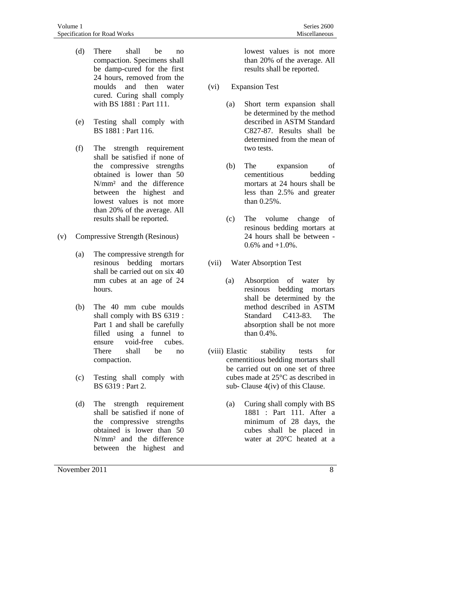- (d) There shall be no compaction. Specimens shall be damp-cured for the first 24 hours, removed from the moulds and then water cured. Curing shall comply with BS 1881 : Part 111.
- (e) Testing shall comply with BS 1881 : Part 116.
- (f) The strength requirement shall be satisfied if none of the compressive strengths obtained is lower than 50 N/mm² and the difference between the highest and lowest values is not more than 20% of the average. All results shall be reported.
- (v) Compressive Strength (Resinous)
	- (a) The compressive strength for resinous bedding mortars shall be carried out on six 40 mm cubes at an age of 24 hours.
	- (b) The 40 mm cube moulds shall comply with BS 6319 : Part 1 and shall be carefully filled using a funnel to ensure void-free cubes. There shall be no compaction.
	- (c) Testing shall comply with BS 6319 : Part 2.
	- (d) The strength requirement shall be satisfied if none of the compressive strengths obtained is lower than 50 N/mm² and the difference between the highest and

lowest values is not more than 20% of the average. All results shall be reported.

- (vi) Expansion Test
	- (a) Short term expansion shall be determined by the method described in ASTM Standard C827-87. Results shall be determined from the mean of two tests.
	- (b) The expansion of cementitious bedding mortars at 24 hours shall be less than 2.5% and greater than 0.25%.
	- (c) The volume change of resinous bedding mortars at 24 hours shall be between - 0.6% and +1.0%.
- (vii) Water Absorption Test
	- (a) Absorption of water by resinous bedding mortars shall be determined by the method described in ASTM Standard C413-83. The absorption shall be not more than 0.4%.
- (viii) Elastic stability tests for cementitious bedding mortars shall be carried out on one set of three cubes made at 25°C as described in sub- Clause 4(iv) of this Clause.
	- (a) Curing shall comply with BS 1881 : Part 111. After a minimum of 28 days, the cubes shall be placed in water at 20°C heated at a
		-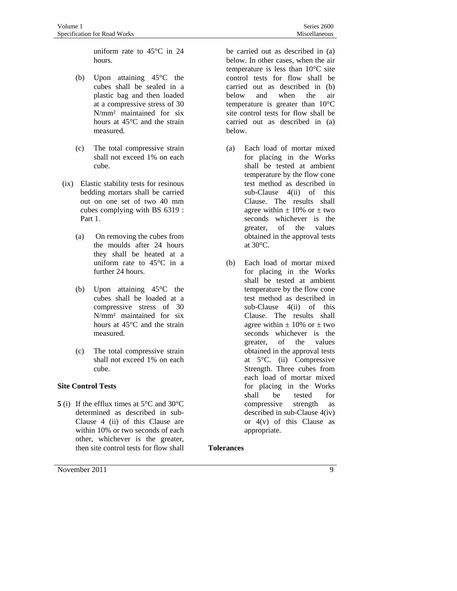uniform rate to 45°C in 24 hours.

- (b) Upon attaining 45°C the cubes shall be sealed in a plastic bag and then loaded at a compressive stress of 30 N/mm² maintained for six hours at 45°C and the strain measured.
- (c) The total compressive strain shall not exceed 1% on each cube.
- (ix) Elastic stability tests for resinous bedding mortars shall be carried out on one set of two 40 mm cubes complying with BS 6319 : Part 1.
	- (a) On removing the cubes from the moulds after 24 hours they shall be heated at a uniform rate to 45°C in a further 24 hours.
	- (b) Upon attaining 45°C the cubes shall be loaded at a compressive stress of 30 N/mm² maintained for six hours at 45°C and the strain measured.
	- (c) The total compressive strain shall not exceed 1% on each cube.

#### **Site Control Tests**

**5** (i) If the efflux times at 5°C and 30°C determined as described in sub-Clause 4 (ii) of this Clause are within 10% or two seconds of each other, whichever is the greater, then site control tests for flow shall

be carried out as described in (a) below. In other cases, when the air temperature is less than 10°C site control tests for flow shall be carried out as described in (b) below and when the air temperature is greater than 10°C site control tests for flow shall be carried out as described in (a) below.

- (a) Each load of mortar mixed for placing in the Works shall be tested at ambient temperature by the flow cone test method as described in sub-Clause 4(ii) of this Clause. The results shall agree within  $\pm$  10% or  $\pm$  two seconds whichever is the greater, of the values obtained in the approval tests at 30°C.
- (b) Each load of mortar mixed for placing in the Works shall be tested at ambient temperature by the flow cone test method as described in sub-Clause 4(ii) of this Clause. The results shall agree within  $\pm$  10% or  $\pm$  two seconds whichever is the greater, of the values obtained in the approval tests at 5°C. (ii) Compressive Strength. Three cubes from each load of mortar mixed for placing in the Works shall be tested for compressive strength as described in sub-Clause 4(iv) or  $4(v)$  of this Clause as appropriate.

#### **Tolerances**

November 2011 9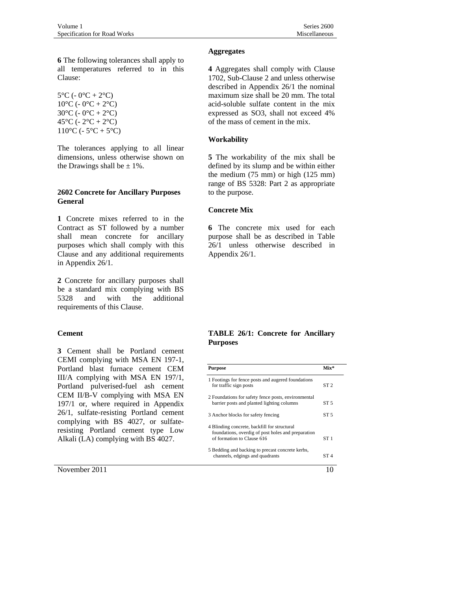**6** The following tolerances shall apply to all temperatures referred to in this Clause:

 $5^{\circ}C (-0^{\circ}C + 2^{\circ}C)$  $10^{\circ}$ C (- 0<sup>o</sup>C + 2<sup>o</sup>C) 30 $^{\circ}$ C (- 0 $^{\circ}$ C + 2 $^{\circ}$ C) 45 $^{\circ}$ C (- 2 $^{\circ}$ C + 2 $^{\circ}$ C)  $110^{\circ}C (-5^{\circ}C + 5^{\circ}C)$ 

The tolerances applying to all linear dimensions, unless otherwise shown on the Drawings shall be  $\pm$  1%.

#### **2602 Concrete for Ancillary Purposes General**

**1** Concrete mixes referred to in the Contract as ST followed by a number shall mean concrete for ancillary purposes which shall comply with this Clause and any additional requirements in Appendix 26/1.

**2** Concrete for ancillary purposes shall be a standard mix complying with BS 5328 and with the additional requirements of this Clause.

#### **Cement**

**3** Cement shall be Portland cement CEMI complying with MSA EN 197-1, Portland blast furnace cement CEM III/A complying with MSA EN 197/1, Portland pulverised-fuel ash cement CEM II/B-V complying with MSA EN 197/1 or, where required in Appendix 26/1, sulfate-resisting Portland cement complying with BS 4027, or sulfateresisting Portland cement type Low Alkali (LA) complying with BS 4027.

November 2011  $\frac{10}{20}$ 

#### **Aggregates**

**4** Aggregates shall comply with Clause 1702, Sub-Clause 2 and unless otherwise described in Appendix 26/1 the nominal maximum size shall be 20 mm. The total acid-soluble sulfate content in the mix expressed as SO3, shall not exceed 4% of the mass of cement in the mix.

#### **Workability**

**5** The workability of the mix shall be defined by its slump and be within either the medium (75 mm) or high (125 mm) range of BS 5328: Part 2 as appropriate to the purpose.

#### **Concrete Mix**

**6** The concrete mix used for each purpose shall be as described in Table 26/1 unless otherwise described in Appendix 26/1.

#### **TABLE 26/1: Concrete for Ancillary Purposes**

| Purpose                                                                                                                          | $Mix*$          |
|----------------------------------------------------------------------------------------------------------------------------------|-----------------|
| 1 Footings for fence posts and augered foundations<br>for traffic sign posts                                                     | ST <sub>2</sub> |
| 2 Foundations for safety fence posts, environmental<br>barrier posts and planted lighting columns                                | ST <sub>5</sub> |
| 3 Anchor blocks for safety fencing                                                                                               | ST <sub>5</sub> |
| 4 Blinding concrete, backfill for structural<br>foundations, overdig of post holes and preparation<br>of formation to Clause 616 | ST1             |
| 5 Bedding and backing to precast concrete kerbs,<br>channels, edgings and quadrants                                              | ST 4            |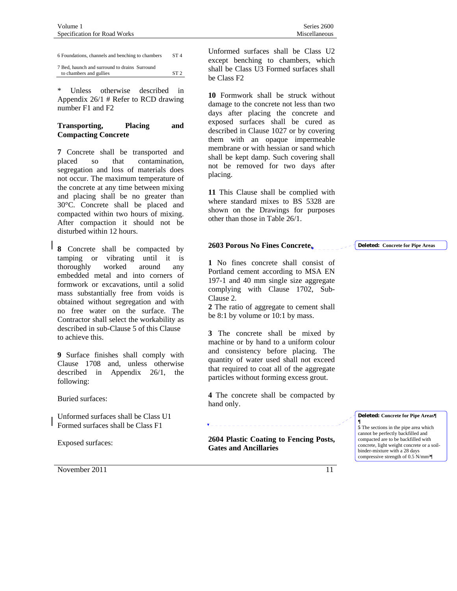6 Foundations, channels and benching to chambers ST 4

| 7 Bed, haunch and surround to drains Surround |                 |
|-----------------------------------------------|-----------------|
| to chambers and gullies                       | ST <sub>2</sub> |

\* Unless otherwise described in Appendix 26/1 # Refer to RCD drawing number F1 and F2

#### **Transporting, Placing and Compacting Concrete**

**7** Concrete shall be transported and placed so that contamination, segregation and loss of materials does not occur. The maximum temperature of the concrete at any time between mixing and placing shall be no greater than 30°C. Concrete shall be placed and compacted within two hours of mixing. After compaction it should not be disturbed within 12 hours.

**8** Concrete shall be compacted by tamping or vibrating until it is thoroughly worked around any embedded metal and into corners of formwork or excavations, until a solid mass substantially free from voids is obtained without segregation and with no free water on the surface. The Contractor shall select the workability as described in sub-Clause 5 of this Clause to achieve this.

**9** Surface finishes shall comply with Clause 1708 and, unless otherwise described in Appendix 26/1, the following:

Buried surfaces:

Unformed surfaces shall be Class U1 Formed surfaces shall be Class F1

Exposed surfaces:

November 2011 11

Unformed surfaces shall be Class U2 except benching to chambers, which shall be Class U3 Formed surfaces shall be Class F2

**10** Formwork shall be struck without damage to the concrete not less than two days after placing the concrete and exposed surfaces shall be cured as described in Clause 1027 or by covering them with an opaque impermeable membrane or with hessian or sand which shall be kept damp. Such covering shall not be removed for two days after placing.

**11** This Clause shall be complied with where standard mixes to BS 5328 are shown on the Drawings for purposes other than those in Table 26/1.

#### **2603 Porous No Fines Concrete,**

**1** No fines concrete shall consist of Portland cement according to MSA EN 197-1 and 40 mm single size aggregate complying with Clause 1702, Sub-Clause 2.

**2** The ratio of aggregate to cement shall be 8:1 by volume or 10:1 by mass.

**3** The concrete shall be mixed by machine or by hand to a uniform colour and consistency before placing. The quantity of water used shall not exceed that required to coat all of the aggregate particles without forming excess grout.

**4** The concrete shall be compacted by hand only.

**2604 Plastic Coating to Fencing Posts, Gates and Ancillaries** 

#### **Deleted: Concrete for Pipe Areas**

**Deleted: Concrete for Pipe Areas¶ ¶ 5** The sections in the pipe area which cannot be perfectly backfilled and compacted are to be backfilled with concrete, light weight concrete or a soilbinder-mixture with a 28 days compressive strength of 0.5 N/mm²¶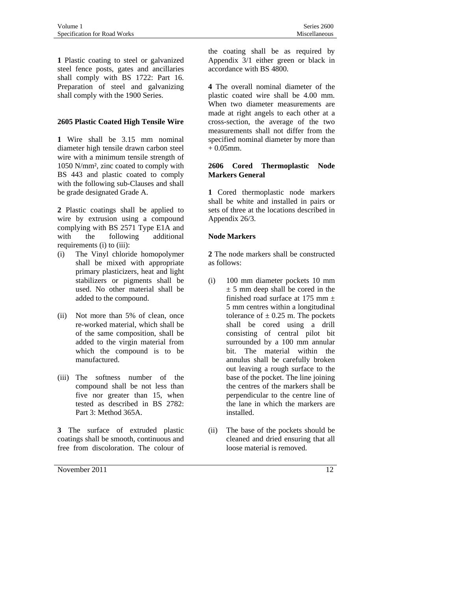**1** Plastic coating to steel or galvanized steel fence posts, gates and ancillaries shall comply with BS 1722: Part 16. Preparation of steel and galvanizing shall comply with the 1900 Series.

#### **2605 Plastic Coated High Tensile Wire**

**1** Wire shall be 3.15 mm nominal diameter high tensile drawn carbon steel wire with a minimum tensile strength of 1050 N/mm², zinc coated to comply with BS 443 and plastic coated to comply with the following sub-Clauses and shall be grade designated Grade A.

**2** Plastic coatings shall be applied to wire by extrusion using a compound complying with BS 2571 Type E1A and with the following additional requirements (i) to (iii):

- (i) The Vinyl chloride homopolymer shall be mixed with appropriate primary plasticizers, heat and light stabilizers or pigments shall be used. No other material shall be added to the compound.
- (ii) Not more than 5% of clean, once re-worked material, which shall be of the same composition, shall be added to the virgin material from which the compound is to be manufactured.
- (iii) The softness number of the compound shall be not less than five nor greater than 15, when tested as described in BS 2782: Part 3: Method 365A.

**3** The surface of extruded plastic coatings shall be smooth, continuous and free from discoloration. The colour of

November 2011  $\frac{12}{2}$ 

the coating shall be as required by Appendix 3/1 either green or black in accordance with BS 4800.

**4** The overall nominal diameter of the plastic coated wire shall be 4.00 mm. When two diameter measurements are made at right angels to each other at a cross-section, the average of the two measurements shall not differ from the specified nominal diameter by more than + 0.05mm.

### **2606 Cored Thermoplastic Node Markers General**

**1** Cored thermoplastic node markers shall be white and installed in pairs or sets of three at the locations described in Appendix 26/3.

#### **Node Markers**

**2** The node markers shall be constructed as follows:

- (i) 100 mm diameter pockets 10 mm  $\pm$  5 mm deep shall be cored in the finished road surface at 175 mm  $\pm$ 5 mm centres within a longitudinal tolerance of  $\pm$  0.25 m. The pockets shall be cored using a drill consisting of central pilot bit surrounded by a 100 mm annular bit. The material within the annulus shall be carefully broken out leaving a rough surface to the base of the pocket. The line joining the centres of the markers shall be perpendicular to the centre line of the lane in which the markers are installed.
- (ii) The base of the pockets should be cleaned and dried ensuring that all loose material is removed.